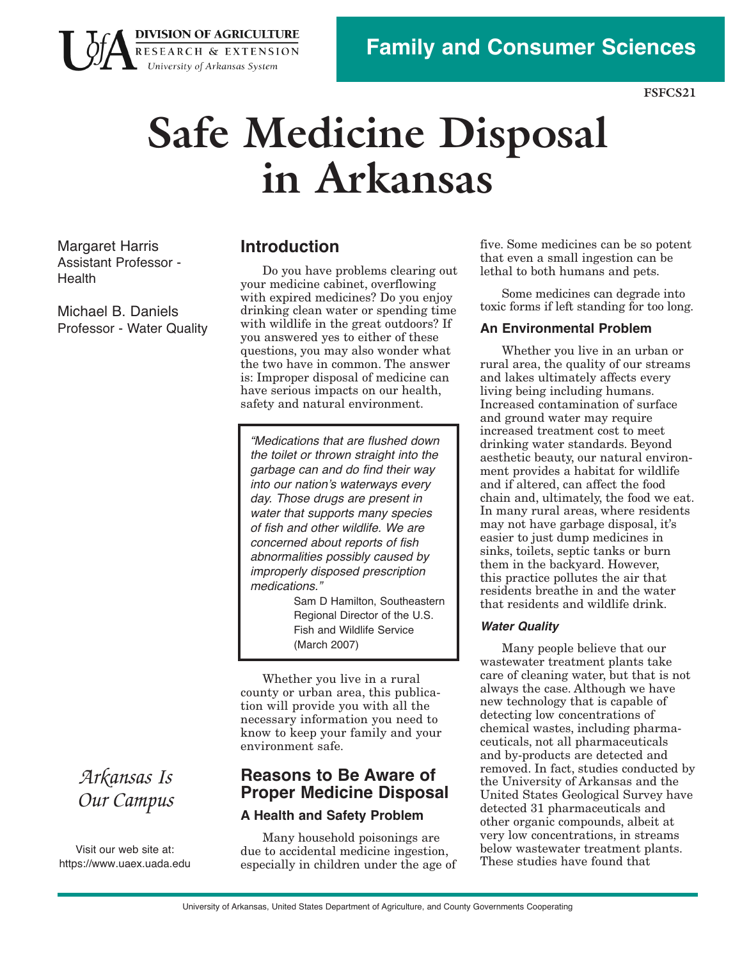

**FSFCS21** 

# **Safe Medicine Disposal in Arkansas**

Margaret Harris Assistant Professor Health

Michael B. Daniels Professor - Water Quality

## **Introduction**

**DIVISION OF AGRICULTURE** RESEARCH & EXTENSION University of Arkansas System

> safety and natural environment. Do you have problems clearing out your medicine cabinet, overflowing with expired medicines? Do you enjoy drinking clean water or spending time with wildlife in the great outdoors? If you answered yes to either of these questions, you may also wonder what the two have in common. The answer is: Improper disposal of medicine can have serious impacts on our health,

"Medications that are flushed down the toilet or thrown straight into the garbage can and do find their way into our nation's waterways every day. Those drugs are present in water that supports many species of fish and other wildlife. We are concerned about reports of fish abnormalities possibly caused by improperly disposed prescription medications."

> Sam D Hamilton, Southeastern Regional Director of the U.S. Fish and Wildlife Service (March 2007)

Whether you live in a rural county or urban area, this publication will provide you with all the necessary information you need to know to keep your family and your environment safe.

## **Reasons to Be Aware of Proper Medicine Disposal A Health and Safety Problem**

Many household poisonings are due to accidental medicine ingestion, especially in children under the age of lethal to both humans and pets. five. Some medicines can be so potent that even a small ingestion can be

Some medicines can degrade into toxic forms if left standing for too long.

## **An Environmental Problem**

Whether you live in an urban or rural area, the quality of our streams and lakes ultimately affects every living being including humans. Increased contamination of surface and ground water may require increased treatment cost to meet drinking water standards. Beyond aesthetic beauty, our natural environment provides a habitat for wildlife and if altered, can affect the food chain and, ultimately, the food we eat. In many rural areas, where residents may not have garbage disposal, it's easier to just dump medicines in sinks, toilets, septic tanks or burn them in the backyard. However, this practice pollutes the air that residents breathe in and the water that residents and wildlife drink.

#### **Water Quality**

Many people believe that our wastewater treatment plants take care of cleaning water, but that is not always the case. Although we have new technology that is capable of detecting low concentrations of chemical wastes, including pharmaceuticals, not all pharmaceuticals and by-products are detected and removed. In fact, studies conducted by the University of Arkansas and the United States Geological Survey have detected 31 pharmaceuticals and other organic compounds, albeit at very low concentrations, in streams below wastewater treatment plants. These studies have found that

## *Arkansas Is Our Campus*

Visit our web site at: https[://www.uaex](https://www.uaex.uada.edu).uada.edu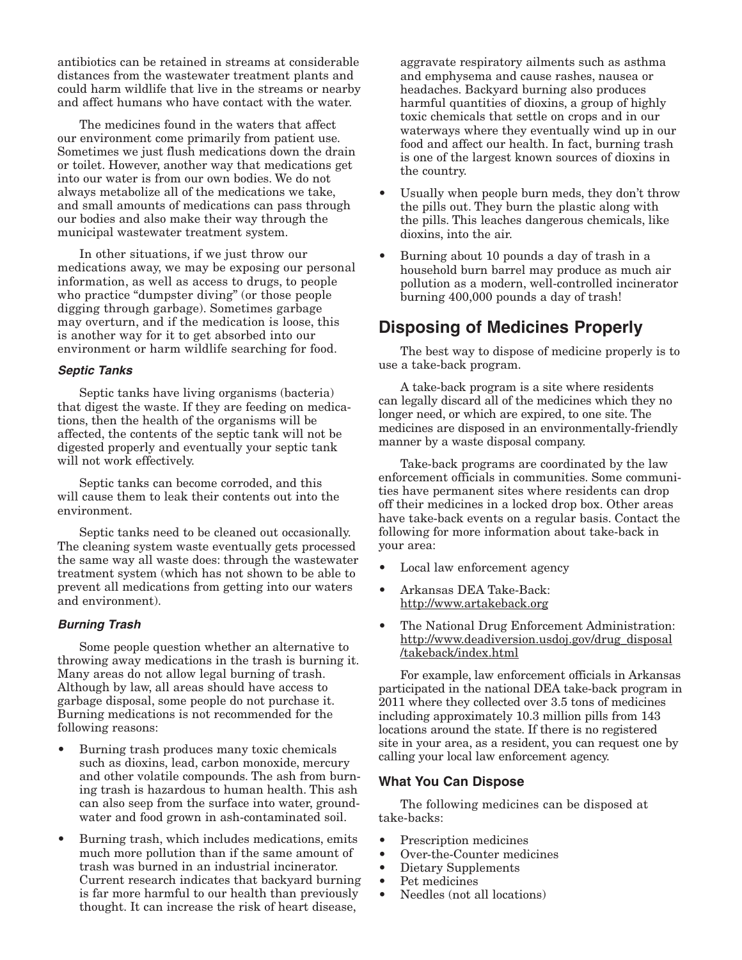antibiotics can be retained in streams at considerable distances from the wastewater treatment plants and could harm wildlife that live in the streams or nearby and affect humans who have contact with the water.

The medicines found in the waters that affect our environment come primarily from patient use. Sometimes we just flush medications down the drain or toilet. However, another way that medications get into our water is from our own bodies. We do not always metabolize all of the medications we take, and small amounts of medications can pass through our bodies and also make their way through the municipal wastewater treatment system.

In other situations, if we just throw our medications away, we may be exposing our personal information, as well as access to drugs, to people who practice "dumpster diving" (or those people digging through garbage). Sometimes garbage may overturn, and if the medication is loose, this is another way for it to get absorbed into our environment or harm wildlife searching for food.

#### **Septic Tanks**

Septic tanks have living organisms (bacteria) that digest the waste. If they are feeding on medications, then the health of the organisms will be affected, the contents of the septic tank will not be digested properly and eventually your septic tank will not work effectively.

Septic tanks can become corroded, and this will cause them to leak their contents out into the environment.

Septic tanks need to be cleaned out occasionally. The cleaning system waste eventually gets processed the same way all waste does: through the wastewater treatment system (which has not shown to be able to prevent all medications from getting into our waters and environment).

#### **Burning Trash**

Some people question whether an alternative to throwing away medications in the trash is burning it. Many areas do not allow legal burning of trash. Although by law, all areas should have access to garbage disposal, some people do not purchase it. Burning medications is not recommended for the following reasons:

- Burning trash produces many toxic chemicals such as dioxins, lead, carbon monoxide, mercury and other volatile compounds. The ash from burning trash is hazardous to human health. This ash can also seep from the surface into water, groundwater and food grown in ash-contaminated soil.
- Burning trash, which includes medications, emits much more pollution than if the same amount of trash was burned in an industrial incinerator. Current research indicates that backyard burning is far more harmful to our health than previously thought. It can increase the risk of heart disease,

aggravate respiratory ailments such as asthma and emphysema and cause rashes, nausea or headaches. Backyard burning also produces harmful quantities of dioxins, a group of highly toxic chemicals that settle on crops and in our waterways where they eventually wind up in our food and affect our health. In fact, burning trash is one of the largest known sources of dioxins in the country.

- Usually when people burn meds, they don't throw the pills out. They burn the plastic along with the pills. This leaches dangerous chemicals, like dioxins, into the air.
- Burning about 10 pounds a day of trash in a household burn barrel may produce as much air pollution as a modern, well-controlled incinerator burning 400,000 pounds a day of trash!

## **Disposing of Medicines Properly**

use a take-back program. The best way to dispose of medicine properly is to

manner by a waste disposal company. A take-back program is a site where residents can legally discard all of the medicines which they no longer need, or which are expired, to one site. The medicines are disposed in an environmentally-friendly

Take-back programs are coordinated by the law enforcement officials in communities. Some communities have permanent sites where residents can drop off their medicines in a locked drop box. Other areas have take-back events on a regular basis. Contact the following for more information about take-back in your area:

- Local law enforcement agency
- Arkansas DEA Take-Back: http://www.artakeback.org
- The National Drug Enforcement Administration: http://www.deadiversion.usdoj.gov/drug\_disposal /takeback/index.html

 calling your local law enforcement agency. For example, law enforcement officials in Arkansas participated in the national DEA take-back program in 2011 where they collected over 3.5 tons of medicines including approximately 10.3 million pills from 143 locations around the state. If there is no registered site in your area, as a resident, you can request one by

#### **What You Can Dispose**

The following medicines can be disposed at take-backs:

- Prescription medicines
- Over-the-Counter medicines
- Dietary Supplements
- Pet medicines
- Needles (not all locations)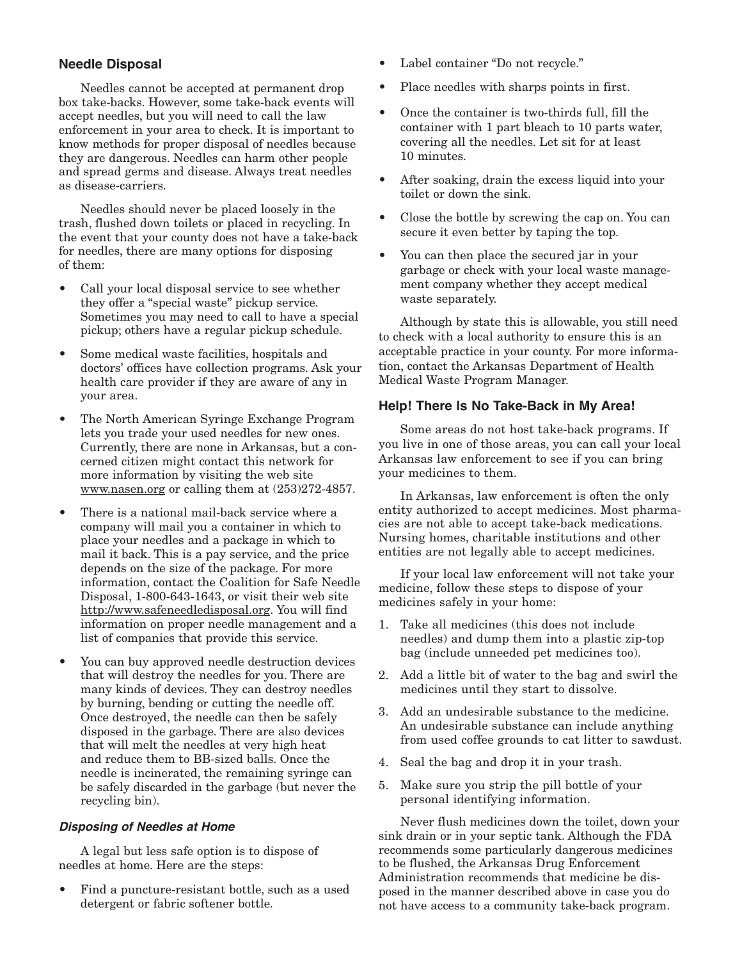## **Needle Disposal**

Needles cannot be accepted at permanent drop box take-backs. However, some take-back events will accept needles, but you will need to call the law enforcement in your area to check. It is important to know methods for proper disposal of needles because they are dangerous. Needles can harm other people and spread germs and disease. Always treat needles as disease-carriers.

Needles should never be placed loosely in the trash, flushed down toilets or placed in recycling. In the event that your county does not have a take-back for needles, there are many options for disposing of them:

- Call your local disposal service to see whether they offer a "special waste" pickup service. Sometimes you may need to call to have a special pickup; others have a regular pickup schedule.
- Some medical waste facilities, hospitals and doctors' offices have collection programs. Ask your health care provider if they are aware of any in your area.
- The North American Syringe Exchange Program lets you trade your used needles for new ones. Currently, there are none in Arkansas, but a concerned citizen might contact this network for more information by visiting the web site www.nasen.org or calling them at (253)272-4857.
- There is a national mail-back service where a company will mail you a container in which to place your needles and a package in which to mail it back. This is a pay service, and the price depends on the size of the package. For more information, contact the Coalition for Safe Needle Disposal, 1-800-643-1643, or visit their web site http://www.safeneedledisposal.org. You will find information on proper needle management and a list of companies that provide this service.
- You can buy approved needle destruction devices that will destroy the needles for you. There are many kinds of devices. They can destroy needles by burning, bending or cutting the needle off. Once destroyed, the needle can then be safely disposed in the garbage. There are also devices that will melt the needles at very high heat and reduce them to BB-sized balls. Once the needle is incinerated, the remaining syringe can be safely discarded in the garbage (but never the recycling bin).

### **Disposing of Needles at Home**

A legal but less safe option is to dispose of needles at home. Here are the steps:

• Find a puncture-resistant bottle, such as a used detergent or fabric softener bottle.

- Label container "Do not recycle."
- Place needles with sharps points in first.
- Once the container is two-thirds full, fill the container with 1 part bleach to 10 parts water, covering all the needles. Let sit for at least 10 minutes.
- After soaking, drain the excess liquid into your toilet or down the sink.
- Close the bottle by screwing the cap on. You can secure it even better by taping the top.
- You can then place the secured jar in your garbage or check with your local waste management company whether they accept medical waste separately.

Although by state this is allowable, you still need to check with a local authority to ensure this is an acceptable practice in your county. For more information, contact the Arkansas Department of Health Medical Waste Program Manager.

## **Help! There Is No Take-Back in My Area!**

Some areas do not host take-back programs. If you live in one of those areas, you can call your local Arkansas law enforcement to see if you can bring your medicines to them.

In Arkansas, law enforcement is often the only entity authorized to accept medicines. Most pharmacies are not able to accept take-back medications. Nursing homes, charitable institutions and other entities are not legally able to accept medicines.

If your local law enforcement will not take your medicine, follow these steps to dispose of your medicines safely in your home:

- 1. Take all medicines (this does not include needles) and dump them into a plastic zip-top bag (include unneeded pet medicines too).
- 2. Add a little bit of water to the bag and swirl the medicines until they start to dissolve.
- 3. Add an undesirable substance to the medicine. An undesirable substance can include anything from used coffee grounds to cat litter to sawdust.
- 4. Seal the bag and drop it in your trash.
- 5. Make sure you strip the pill bottle of your personal identifying information.

Never flush medicines down the toilet, down your sink drain or in your septic tank. Although the FDA recommends some particularly dangerous medicines to be flushed, the Arkansas Drug Enforcement Administration recommends that medicine be disposed in the manner described above in case you do not have access to a community take-back program.